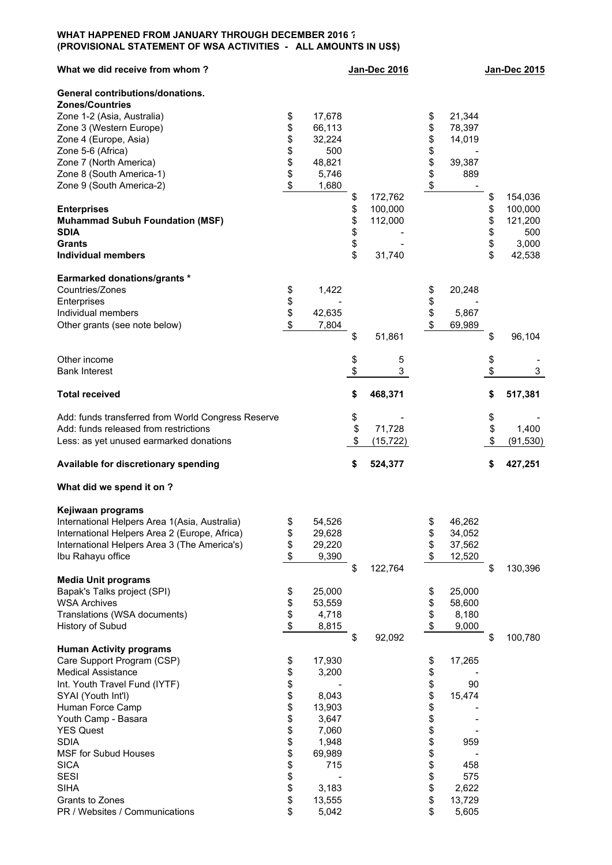## **WHAT HAPPENED FROM JANUARY THROUGH DECEMBER 2016 ? (PROVISIONAL STATEMENT OF WSA ACTIVITIES - ALL AMOUNTS IN US\$)**

| What we did receive from whom?                     |          |               | <b>Jan-Dec 2016</b> |           |          |        | <b>Jan-Dec 2015</b> |           |  |
|----------------------------------------------------|----------|---------------|---------------------|-----------|----------|--------|---------------------|-----------|--|
| General contributions/donations.                   |          |               |                     |           |          |        |                     |           |  |
| <b>Zones/Countries</b>                             |          |               |                     |           |          |        |                     |           |  |
| Zone 1-2 (Asia, Australia)                         | \$       | 17,678        |                     |           | \$       | 21,344 |                     |           |  |
| Zone 3 (Western Europe)                            | \$       | 66,113        |                     |           | \$       | 78,397 |                     |           |  |
| Zone 4 (Europe, Asia)                              | \$       | 32,224        |                     |           | \$       | 14,019 |                     |           |  |
| Zone 5-6 (Africa)                                  | \$<br>\$ | 500<br>48,821 |                     |           | \$<br>\$ | 39,387 |                     |           |  |
| Zone 7 (North America)<br>Zone 8 (South America-1) | \$       | 5,746         |                     |           | \$       | 889    |                     |           |  |
| Zone 9 (South America-2)                           | \$       | 1,680         |                     |           | \$       |        |                     |           |  |
|                                                    |          |               | \$                  | 172,762   |          |        | \$                  | 154,036   |  |
| <b>Enterprises</b>                                 |          |               | \$                  | 100,000   |          |        | \$                  | 100,000   |  |
| <b>Muhammad Subuh Foundation (MSF)</b>             |          |               | \$                  | 112,000   |          |        | \$                  | 121,200   |  |
| <b>SDIA</b>                                        |          |               | \$                  |           |          |        | \$                  | 500       |  |
| <b>Grants</b>                                      |          |               | \$                  |           |          |        | \$                  | 3,000     |  |
| <b>Individual members</b>                          |          |               | \$                  | 31,740    |          |        | \$                  | 42,538    |  |
| <b>Earmarked donations/grants *</b>                |          |               |                     |           |          |        |                     |           |  |
| Countries/Zones                                    | \$       | 1,422         |                     |           | \$       | 20,248 |                     |           |  |
| Enterprises                                        | \$       |               |                     |           | \$       |        |                     |           |  |
| Individual members                                 | \$       | 42,635        |                     |           | \$       | 5,867  |                     |           |  |
| Other grants (see note below)                      | \$       | 7,804         |                     |           | \$       | 69,989 |                     |           |  |
|                                                    |          |               | \$                  | 51,861    |          |        | \$                  | 96,104    |  |
| Other income                                       |          |               | \$                  | 5         |          |        | \$                  |           |  |
| <b>Bank Interest</b>                               |          |               | \$                  | 3         |          |        | \$                  | 3         |  |
| <b>Total received</b>                              |          |               | \$                  | 468,371   |          |        | \$                  | 517,381   |  |
| Add: funds transferred from World Congress Reserve |          |               | \$                  |           |          |        | \$                  |           |  |
| Add: funds released from restrictions              |          |               | \$                  | 71,728    |          |        | \$                  | 1,400     |  |
| Less: as yet unused earmarked donations            |          |               | \$                  | (15, 722) |          |        | \$                  | (91, 530) |  |
|                                                    |          |               |                     |           |          |        |                     |           |  |
| Available for discretionary spending               |          |               | \$                  | 524,377   |          |        | \$                  | 427,251   |  |
| What did we spend it on ?                          |          |               |                     |           |          |        |                     |           |  |
| Kejiwaan programs                                  |          |               |                     |           |          |        |                     |           |  |
| International Helpers Area 1(Asia, Australia)      | \$       | 54,526        |                     |           | \$       | 46,262 |                     |           |  |
| International Helpers Area 2 (Europe, Africa)      | \$       | 29,628        |                     |           | \$       | 34,052 |                     |           |  |
| International Helpers Area 3 (The America's)       | \$       | 29,220        |                     |           | \$       | 37,562 |                     |           |  |
| Ibu Rahayu office                                  | \$       | 9,390         |                     |           |          | 12,520 |                     |           |  |
|                                                    |          |               | \$                  | 122,764   |          |        | \$                  | 130,396   |  |
| <b>Media Unit programs</b>                         |          |               |                     |           |          |        |                     |           |  |
| Bapak's Talks project (SPI)                        | \$       | 25,000        |                     |           | \$       | 25,000 |                     |           |  |
| <b>WSA Archives</b>                                | \$       | 53,559        |                     |           | \$       | 58,600 |                     |           |  |
| Translations (WSA documents)                       | \$       | 4,718         |                     |           | \$       | 8,180  |                     |           |  |
| History of Subud                                   | \$       | 8,815         |                     |           | \$       | 9,000  |                     |           |  |
|                                                    |          |               | \$                  | 92,092    |          |        | \$                  | 100,780   |  |
| <b>Human Activity programs</b>                     |          |               |                     |           |          |        |                     |           |  |
| Care Support Program (CSP)                         | \$       | 17,930        |                     |           | \$       | 17,265 |                     |           |  |
| <b>Medical Assistance</b>                          | \$       | 3,200         |                     |           | \$       |        |                     |           |  |
| Int. Youth Travel Fund (IYTF)                      | \$       |               |                     |           | \$       | 90     |                     |           |  |
| SYAI (Youth Int'l)                                 | \$       | 8,043         |                     |           | \$       | 15,474 |                     |           |  |
| Human Force Camp                                   | \$       | 13,903        |                     |           | \$       |        |                     |           |  |
| Youth Camp - Basara                                | \$       | 3,647         |                     |           | \$       |        |                     |           |  |
| <b>YES Quest</b>                                   | \$       | 7,060         |                     |           | \$       |        |                     |           |  |
| <b>SDIA</b>                                        | \$       | 1,948         |                     |           | \$       | 959    |                     |           |  |
| <b>MSF for Subud Houses</b>                        | \$       | 69,989        |                     |           | \$       |        |                     |           |  |
| <b>SICA</b>                                        | \$       | 715           |                     |           | \$       | 458    |                     |           |  |
| <b>SESI</b>                                        | \$       |               |                     |           | \$       | 575    |                     |           |  |
| <b>SIHA</b>                                        | \$       | 3,183         |                     |           | \$       | 2,622  |                     |           |  |
| Grants to Zones                                    | \$       | 13,555        |                     |           | \$       | 13,729 |                     |           |  |
| PR / Websites / Communications                     | \$       | 5,042         |                     |           | \$       | 5,605  |                     |           |  |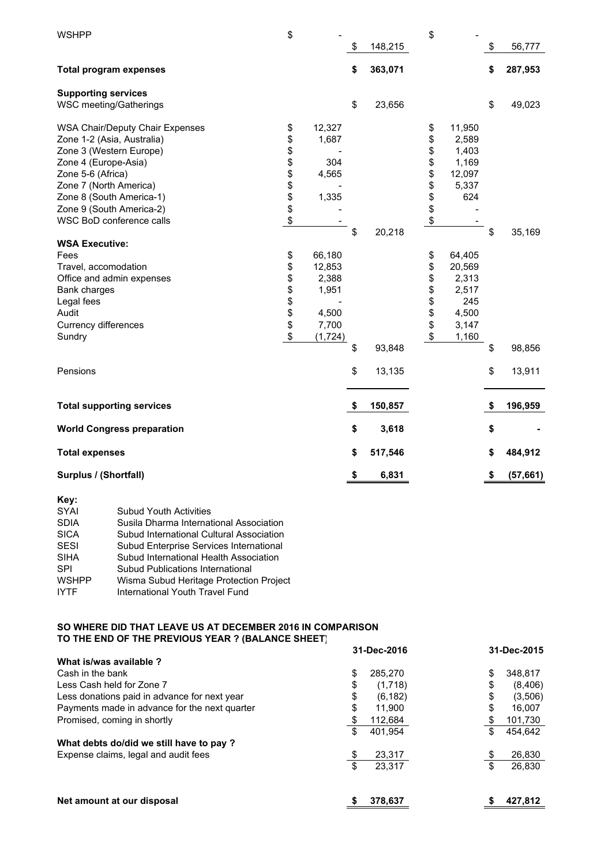| <b>WSHPP</b>                     |                                         | \$       |          | \$<br>148,215 | \$           | \$<br>56,777    |
|----------------------------------|-----------------------------------------|----------|----------|---------------|--------------|-----------------|
| <b>Total program expenses</b>    |                                         |          |          | \$<br>363,071 |              | \$<br>287,953   |
| <b>Supporting services</b>       |                                         |          |          |               |              |                 |
| WSC meeting/Gatherings           |                                         |          |          | \$<br>23,656  |              | \$<br>49,023    |
|                                  | <b>WSA Chair/Deputy Chair Expenses</b>  | \$       | 12,327   |               | \$<br>11,950 |                 |
| Zone 1-2 (Asia, Australia)       |                                         | \$       | 1,687    |               | \$<br>2,589  |                 |
| Zone 3 (Western Europe)          |                                         | \$       |          |               | \$<br>1,403  |                 |
| Zone 4 (Europe-Asia)             |                                         | \$\$\$\$ | 304      |               | \$<br>1,169  |                 |
| Zone 5-6 (Africa)                |                                         |          | 4,565    |               | \$<br>12,097 |                 |
| Zone 7 (North America)           |                                         |          |          |               | \$<br>5,337  |                 |
| Zone 8 (South America-1)         |                                         |          | 1,335    |               | \$<br>624    |                 |
| Zone 9 (South America-2)         |                                         | \$       |          |               | \$           |                 |
| WSC BoD conference calls         |                                         | \$       |          |               | \$           |                 |
|                                  |                                         |          |          | \$<br>20,218  |              | \$<br>35,169    |
| <b>WSA Executive:</b>            |                                         |          |          |               |              |                 |
| Fees                             |                                         | \$       | 66,180   |               | \$<br>64,405 |                 |
| Travel, accomodation             |                                         | \$       | 12,853   |               | \$<br>20,569 |                 |
| Office and admin expenses        |                                         | \$       | 2,388    |               | \$<br>2,313  |                 |
| Bank charges                     |                                         | \$\$     | 1,951    |               | \$<br>2,517  |                 |
| Legal fees                       |                                         |          |          |               | \$<br>245    |                 |
| Audit                            |                                         |          | 4,500    |               | \$<br>4,500  |                 |
| Currency differences             |                                         | \$       | 7,700    |               | \$<br>3,147  |                 |
| Sundry                           |                                         | \$       | (1, 724) |               | \$<br>1,160  |                 |
|                                  |                                         |          |          | \$<br>93,848  |              | \$<br>98,856    |
| Pensions                         |                                         |          |          | \$<br>13,135  |              | \$<br>13,911    |
| <b>Total supporting services</b> |                                         |          |          | \$<br>150,857 |              | \$<br>196,959   |
|                                  |                                         |          |          |               |              |                 |
|                                  | <b>World Congress preparation</b>       |          |          | \$<br>3,618   |              | \$              |
| <b>Total expenses</b>            |                                         |          |          | \$<br>517,546 |              | \$<br>484,912   |
| Surplus / (Shortfall)            |                                         |          |          | \$<br>6,831   |              | \$<br>(57, 661) |
| Key:                             |                                         |          |          |               |              |                 |
| SYAI                             | <b>Subud Youth Activities</b>           |          |          |               |              |                 |
| <b>SDIA</b>                      | Susila Dharma International Association |          |          |               |              |                 |
|                                  |                                         |          |          |               |              |                 |

| <b>SICA</b>  | Subud International Cultural Association |
|--------------|------------------------------------------|
| SESI         | Subud Enterprise Services International  |
| <b>SIHA</b>  | Subud International Health Association   |
| <b>SPI</b>   | <b>Subud Publications International</b>  |
| <b>WSHPP</b> | Wisma Subud Heritage Protection Project  |
| <b>IYTF</b>  | International Youth Travel Fund          |

## **SO WHERE DID THAT LEAVE US AT DECEMBER 2016 IN COMPARISON TO THE END OF THE PREVIOUS YEAR ? (BALANCE SHEET)**

|                                               | 31-Dec-2016    | 31-Dec-2015   |  |  |
|-----------------------------------------------|----------------|---------------|--|--|
| What is/was available?                        |                |               |  |  |
| Cash in the bank                              | \$<br>285.270  | \$<br>348,817 |  |  |
| Less Cash held for Zone 7                     | \$<br>(1,718)  | \$<br>(8,406) |  |  |
| Less donations paid in advance for next year  | \$<br>(6, 182) | \$<br>(3,506) |  |  |
| Payments made in advance for the next quarter | \$<br>11,900   | \$<br>16,007  |  |  |
| Promised, coming in shortly                   | 112,684<br>\$  | \$<br>101,730 |  |  |
|                                               | \$<br>401.954  | \$<br>454.642 |  |  |
| What debts do/did we still have to pay ?      |                |               |  |  |
| Expense claims, legal and audit fees          | \$<br>23,317   | \$<br>26,830  |  |  |
|                                               | \$<br>23.317   | \$<br>26,830  |  |  |
| Net amount at our disposal                    | 378,637        | 427,812       |  |  |